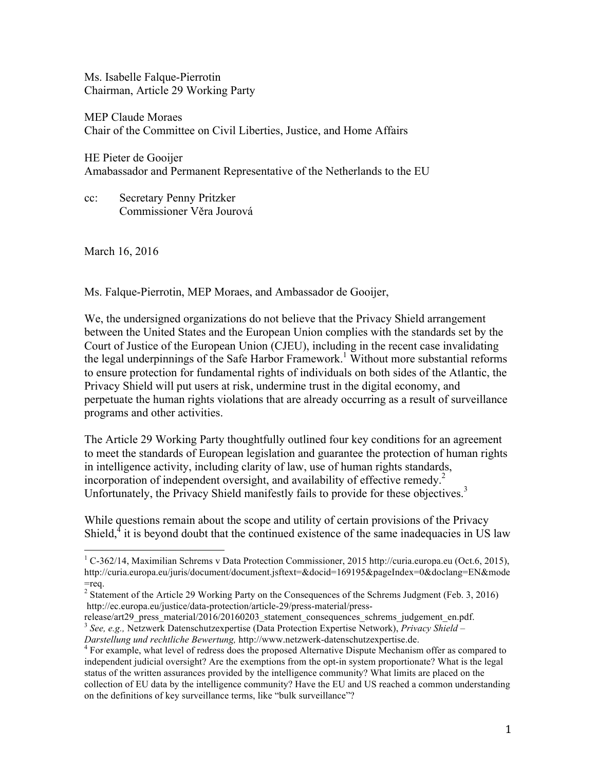Ms. Isabelle Falque-Pierrotin Chairman, Article 29 Working Party

MEP Claude Moraes Chair of the Committee on Civil Liberties, Justice, and Home Affairs

HE Pieter de Gooijer Amabassador and Permanent Representative of the Netherlands to the EU

cc: Secretary Penny Pritzker Commissioner Věra Jourová

March 16, 2016

Ms. Falque-Pierrotin, MEP Moraes, and Ambassador de Gooijer,

We, the undersigned organizations do not believe that the Privacy Shield arrangement between the United States and the European Union complies with the standards set by the Court of Justice of the European Union (CJEU), including in the recent case invalidating the legal underpinnings of the Safe Harbor Framework. <sup>1</sup> Without more substantial reforms to ensure protection for fundamental rights of individuals on both sides of the Atlantic, the Privacy Shield will put users at risk, undermine trust in the digital economy, and perpetuate the human rights violations that are already occurring as a result of surveillance programs and other activities.

The Article 29 Working Party thoughtfully outlined four key conditions for an agreement to meet the standards of European legislation and guarantee the protection of human rights in intelligence activity, including clarity of law, use of human rights standards, incorporation of independent oversight, and availability of effective remedy. 2 Unfortunately, the Privacy Shield manifestly fails to provide for these objectives.<sup>3</sup>

While questions remain about the scope and utility of certain provisions of the Privacy Shield, $4$  it is beyond doubt that the continued existence of the same inadequacies in US law

 $1$  C-362/14, Maximilian Schrems v Data Protection Commissioner, 2015 http://curia.europa.eu (Oct.6, 2015), http://curia.europa.eu/juris/document/document.jsftext=&docid=169195&pageIndex=0&doclang=EN&mode =req.

<sup>&</sup>lt;sup>2</sup> Statement of the Article 29 Working Party on the Consequences of the Schrems Judgment (Feb. 3, 2016) http://ec.europa.eu/justice/data-protection/article-29/press-material/press-

release/art29\_press\_material/2016/20160203\_statement\_consequences\_schrems\_judgement\_en.pdf. <sup>3</sup> *See, e.g.,* Netzwerk Datenschutzexpertise (Data Protection Expertise Network), *Privacy Shield –*

*Darstellung und rechtliche Bewertung,* http://www.netzwerk-datenschutzexpertise.de. <sup>4</sup> For example, what level of redress does the proposed Alternative Dispute Mechanism offer as compared to

independent judicial oversight? Are the exemptions from the opt-in system proportionate? What is the legal status of the written assurances provided by the intelligence community? What limits are placed on the collection of EU data by the intelligence community? Have the EU and US reached a common understanding on the definitions of key surveillance terms, like "bulk surveillance"?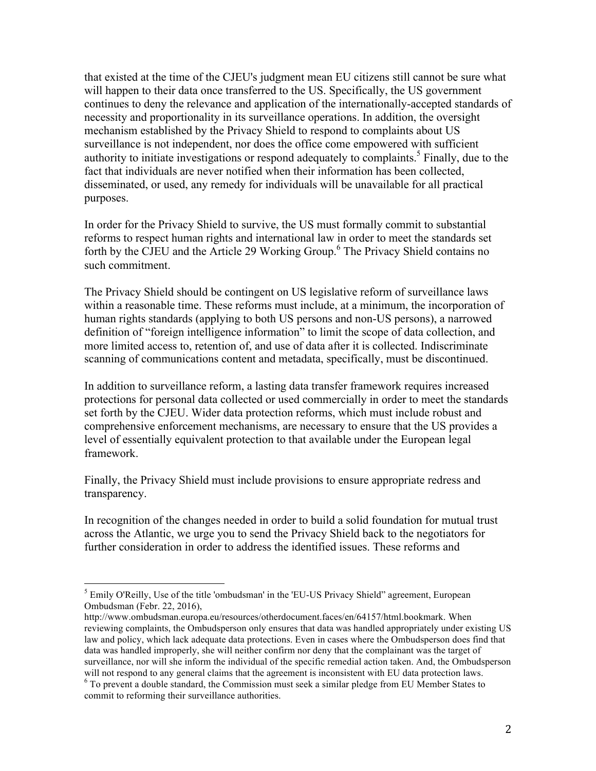that existed at the time of the CJEU's judgment mean EU citizens still cannot be sure what will happen to their data once transferred to the US. Specifically, the US government continues to deny the relevance and application of the internationally-accepted standards of necessity and proportionality in its surveillance operations. In addition, the oversight mechanism established by the Privacy Shield to respond to complaints about US surveillance is not independent, nor does the office come empowered with sufficient authority to initiate investigations or respond adequately to complaints. <sup>5</sup> Finally, due to the fact that individuals are never notified when their information has been collected, disseminated, or used, any remedy for individuals will be unavailable for all practical purposes.

In order for the Privacy Shield to survive, the US must formally commit to substantial reforms to respect human rights and international law in order to meet the standards set forth by the CJEU and the Article 29 Working Group.6 The Privacy Shield contains no such commitment.

The Privacy Shield should be contingent on US legislative reform of surveillance laws within a reasonable time. These reforms must include, at a minimum, the incorporation of human rights standards (applying to both US persons and non-US persons), a narrowed definition of "foreign intelligence information" to limit the scope of data collection, and more limited access to, retention of, and use of data after it is collected. Indiscriminate scanning of communications content and metadata, specifically, must be discontinued.

In addition to surveillance reform, a lasting data transfer framework requires increased protections for personal data collected or used commercially in order to meet the standards set forth by the CJEU. Wider data protection reforms, which must include robust and comprehensive enforcement mechanisms, are necessary to ensure that the US provides a level of essentially equivalent protection to that available under the European legal framework.

Finally, the Privacy Shield must include provisions to ensure appropriate redress and transparency.

In recognition of the changes needed in order to build a solid foundation for mutual trust across the Atlantic, we urge you to send the Privacy Shield back to the negotiators for further consideration in order to address the identified issues. These reforms and

<sup>&</sup>lt;sup>5</sup> Emily O'Reilly, Use of the title 'ombudsman' in the 'EU-US Privacy Shield" agreement, European Ombudsman (Febr. 22, 2016),

http://www.ombudsman.europa.eu/resources/otherdocument.faces/en/64157/html.bookmark. When reviewing complaints, the Ombudsperson only ensures that data was handled appropriately under existing US law and policy, which lack adequate data protections. Even in cases where the Ombudsperson does find that data was handled improperly, she will neither confirm nor deny that the complainant was the target of surveillance, nor will she inform the individual of the specific remedial action taken. And, the Ombudsperson will not respond to any general claims that the agreement is inconsistent with EU data protection laws.

<sup>&</sup>lt;sup>6</sup> To prevent a double standard, the Commission must seek a similar pledge from EU Member States to commit to reforming their surveillance authorities.